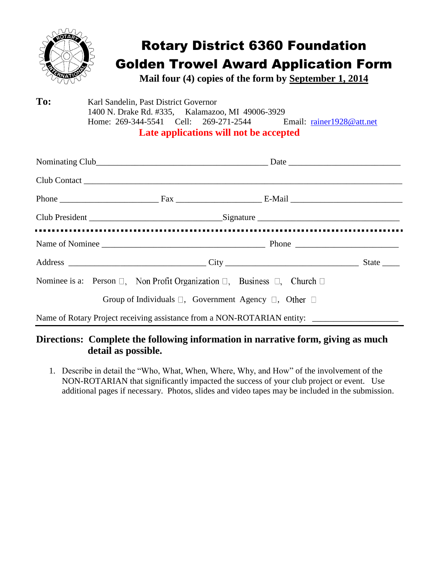

## Rotary District 6360 Foundation Golden Trowel Award Application Form

**Mail four (4) copies of the form by September 1, 2014**

**To:** Karl Sandelin, Past District Governor 1400 N. Drake Rd. #335, Kalamazoo, MI 49006-3929 Home: 269-344-5541 Cell: 269-271-2544 Email: [rainer1928@att.net](mailto:rainer1928@att.net) **Late applications will not be accepted**

Nominating Club\_\_\_\_\_\_\_\_\_\_\_\_\_\_\_\_\_\_\_\_\_\_\_\_\_\_\_\_\_\_\_\_\_\_\_\_\_\_\_\_ Date \_\_\_\_\_\_\_\_\_\_\_\_\_\_\_\_\_\_\_\_\_\_\_\_\_\_ Club Contact \_\_\_\_\_\_\_\_\_\_\_\_\_\_\_\_\_\_\_\_\_\_\_\_\_\_\_\_\_\_\_\_\_\_\_\_\_\_\_\_\_\_\_\_\_\_\_\_\_\_\_\_\_\_\_\_\_\_\_\_\_\_\_\_\_\_\_\_\_\_\_\_\_\_ Phone \_\_\_\_\_\_\_\_\_\_\_\_\_\_\_\_\_\_\_\_\_\_\_ Fax \_\_\_\_\_\_\_\_\_\_\_\_\_\_\_\_\_\_\_\_ E-Mail \_\_\_\_\_\_\_\_\_\_\_\_\_\_\_\_\_\_\_\_\_\_\_\_\_\_ Club President the contract of the Signature contract of the Signature  $\sim$ Name of Nominee \_\_\_\_\_\_\_\_\_\_\_\_\_\_\_\_\_\_\_\_\_\_\_\_\_\_\_\_\_\_\_\_\_\_\_\_\_\_ Phone \_\_\_\_\_\_\_\_\_\_\_\_\_\_\_\_\_\_\_\_\_\_\_\_ Address \_\_\_\_\_\_\_\_\_\_\_\_\_\_\_\_\_\_\_\_\_\_\_\_\_\_\_\_\_\_\_\_ City \_\_\_\_\_\_\_\_\_\_\_\_\_\_\_\_\_\_\_\_\_\_\_\_\_\_\_\_\_\_\_ State \_\_\_\_ Nominee is a: Person  $\Box$ , Non Profit Organization  $\Box$ , Business  $\Box$ , Church  $\Box$ Group of Individuals  $\square$ , Government Agency  $\square$ , Other  $\square$ Name of Rotary Project receiving assistance from a NON-ROTARIAN entity: \_\_\_\_\_\_\_\_\_\_\_\_\_\_\_\_\_\_\_\_

## **Directions: Complete the following information in narrative form, giving as much detail as possible.**

1. Describe in detail the "Who, What, When, Where, Why, and How" of the involvement of the NON-ROTARIAN that significantly impacted the success of your club project or event. Use additional pages if necessary. Photos, slides and video tapes may be included in the submission.